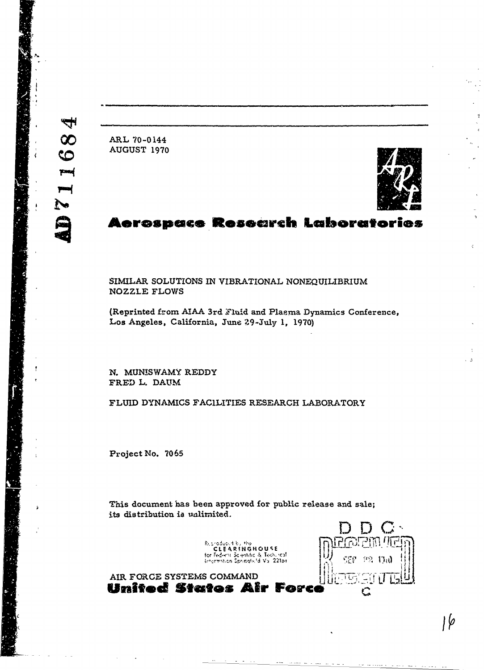ARL 70-0144 AUGUST 1970



## Aerospace Research Laboratories

SIMILAR SOLUTIONS IN VIBRATIONAL NONEQUILIBRIUM **NOZZLE FLOWS** 

(Reprinted from AIAA 3rd Fluid and Plasma Dynamics Conference, Los Angeles, California, June 29-July 1, 1970)

N. MUNISWAMY REDDY FRED L. DAUM

AIR FORCE SYSTEMS COMMAND

FLUID DYNAMICS FACILITIES RESEARCH LABORATORY

Project No. 7065

This document has been approved for public release and sale; its distribution is unlimited.

> Reproduced by the Reproduce for Federal Scientific & Tech. ical

**SEP**  $\{1,2\}$ ាម ר ג'ו United States Air Force C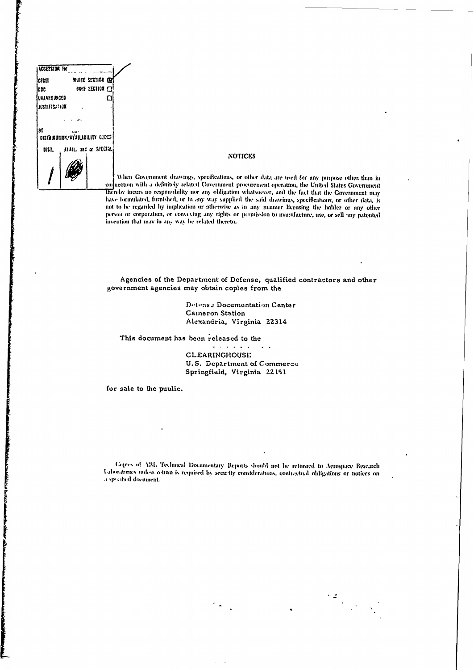

### **NOTICES**

When Covernment drawings, specifications, or other data are used for any purpose ether than in connection with a definitely related Government procurement operation, the United States Government thereby incurs no responsibility nor any obligation whatsoever, and the fact that the Government may have formulated, furnished, or in any way supplied the said drawings, specifications, or other data, is not to be regarded by implication or otherwise as in any manner licensing the holder or any other person or corporation, or convexing any rights or permission to manufacture, use, or sell any patented invention that may in any way be related thereto.

Agencies of the Department of Defense, qualified contractors and other government agencies may obtain copies from the

> Detense Documentation Center Cameron Station Alexandria, Virginia 22314

This document has been released to the

 $\sigma$  is a set of  $\sigma$  .  $\blacksquare$ **CLEARINGHOUSE** U.S. Department of Commerce Springfield, Virginia 22151

for sale to the public.

Copies of ABL Technical Documentary Reports should not be returned to Aerospace Research Laboratories unless return is required by security considerations, contractual obligations or notices on a specified document.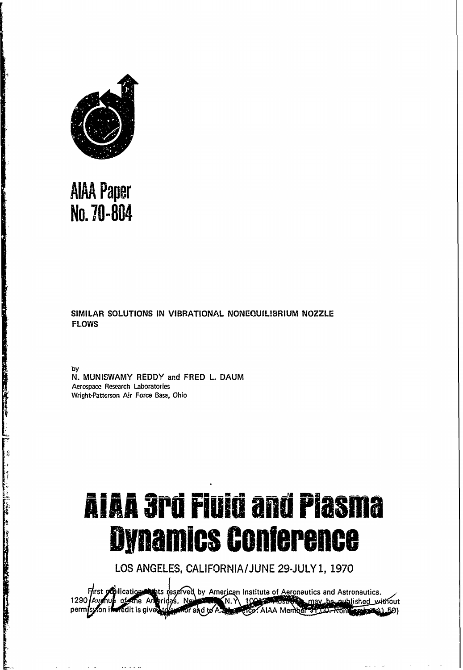

# **AIAA Paper** No. 70-804

**The Company of the Company of the Company of the Company of the Company of the Company of the Company of the C** 

and the company of the company of the company of the company of the company of the company of the company of the

The company of the company of the company of the company of the company of the company of

A PARTIES AND THE RESERVE AND RESERVE TO THE RESERVE AND THE RESERVE AND THE RESERVE AND THE RESERVE AND THE RESERVE AND THE RESERVE AND THE RESERVE AND THE RESERVE AND THE RESERVE AND THE RESERVE AND THE RESERVE AND THE R

### SIMILAR SOLUTIONS IN VIBRATIONAL NONEQUILIBRIUM NOZZLE **FLOWS**

bv

N. MUNISWAMY REDDY and FRED L. DAUM Aerospace Research Laboratories Wright-Patterson Air Force Base, Ohio

# **AIAA 3rd Fluid and Plasma Dynamics Conference**

LOS ANGELES, CALIFORNIA/JUNE 29-JULY 1, 1970

First politication whis reserved by American Institute of Aeronautics and Astronautics.<br>Avenue of the Americas. New York N. N. 1004 2005 The may be nublished with  $1290$   $A$  $v$   $v$ may be nublished without **Redit is given** perm **MAOF** and to A **ALLEST AIAA Member 31.00. Nom Endroit (1.50)**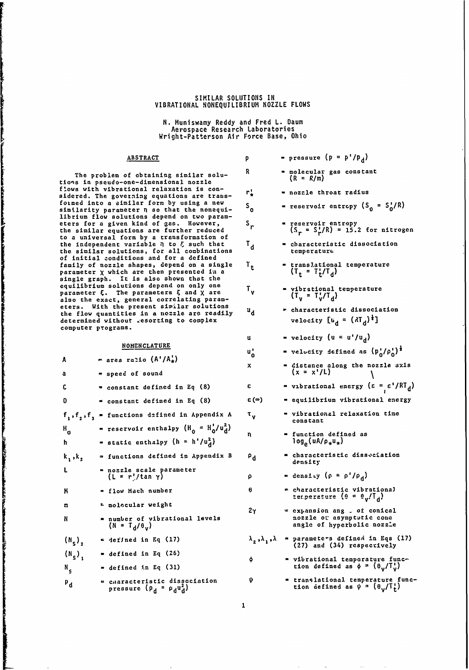### SIMILAR **SOLUTIONS** IN VIBRATIONAL NONEQUILIBRIUM NOZZLE FLOWS

N. Munlswamy Reddy and Fred L. Daum Aerospace Research Laboratories Wright-Patterson Air Force Base, Ohio

### ABSTRACT **p** - pressure **(p =p'/pd )**

The problem of obtaining similar solutions in pseudo-one-dimensional nozzle flows with vibrational relaxation is con-<br>adden d The concerting constitute and there sidered. The govezning equations are transformed into a similar form by using a new **S**  $\alpha$  **a** reservoir entropy (S = S'/R) similarity parameter **q** so that the nonequi- **0** librium flow solutions depend on two parameters for a given kind of Gas. However, **Sr -** reservoir entropy the similar equations are further reduced **(S =** S'/R) **= 15.2** for nitrogen to a universal form by a transformation of the independent variable **n** to *E* such that **T**<sub>d</sub> **c**haracteristic dissociation the similar solutions, for all combinations the temperature of initial zonditions and for a defined family of nozzle shapes, depend on a single  $T_{+}$  = translational temperature parameter  $\chi$  which are then presented in a  $(T_{+} = T_{+}^{+}/T_{d})$ single graph. It is also shown that the equilibrium solutions depend on only one  $\mu$  parameter  $\xi$ . The parameters  $\xi$  and  $\chi$  are also the exact, general correlating param- **d** eters. With the present similar solutions **characteristic dissociation** the flow quantities in a nozzle are readily **d** determined without resorting to complex computer programs.

المستكسف والمستوان ويتواطنه فالمستور والاستخراج المستنبون

| A                     | $=$ area ratio $(A'/A^!_+)$                                                             | ັ°                                    | - Aetoctf) Setthen as (A <sup>u</sup> le <sup>u</sup> l                                          |
|-----------------------|-----------------------------------------------------------------------------------------|---------------------------------------|--------------------------------------------------------------------------------------------------|
| a                     | = speed of sound                                                                        | $\mathbf{x}$                          | = distance along the nozzle axis<br>$(x = x'/L)$                                                 |
| C                     | " constant defined in Eq (8)                                                            | ε                                     | " vibrational energy $(\epsilon = \epsilon'/RT_d)$                                               |
| Ð                     | $=$ constant defined in Eq $(8)$                                                        | $\varepsilon(\infty)$                 | = equilibrium vibrational energy                                                                 |
|                       | $f_1, f_2, f_3$ = functions defined in Appendix A                                       | $\mathfrak{r}_{\mathsf{v}}$           | = vibrational relaxation time<br>constant                                                        |
| $H_{\mathbf{0}}$<br>ħ | = reservoir enthalpy $(H_0 = H_0'/u_d^2)$<br>= static enthalpy $(h = h'/u_d^2)$         | n                                     | = function defined as<br>log <sub>e</sub> (uA/p <sub>*</sub> u <sub>*</sub> )                    |
| $k_1, k_2$            | = functions defined in Appendix B                                                       | $P_{\mathbf{d}}$                      | = characteristic disseciation<br>density                                                         |
| Ł                     | = nozzle scale parameter<br>$(L = r'/tan \gamma)$                                       | ρ                                     | $=$ density $(\rho = \rho'/\rho_d)$                                                              |
| К                     | " flow Mach number                                                                      | ₿                                     | - characteristic vibrational<br>tenperature $(0 = \theta_0/\Gamma_A)$                            |
| m<br>N                | <del>r</del> molocular weight<br>number of vibrational levels<br>$(M = T_d / \theta_u)$ | 2 <sub>Y</sub>                        | $\in$ expansion ang $\sim$ of conical<br>nozzle ou asymptutic cone<br>angle of hyperbolic nozzie |
| $(N_s)$ ,             | $=$ defined in Eq (17)                                                                  | $\lambda_2$ , $\lambda_1$ , $\lambda$ | " parameters defined in Eqs (17)<br>(27) and (34) respectively                                   |
| $(N_s)$               | $\blacksquare$ defined in Eq (26)                                                       | ÷                                     | = vibrational temperature func-                                                                  |
| N,                    | $=$ defined in Eq (31)                                                                  |                                       | tion defined as $\phi = (\theta_u/T_u^t)$                                                        |
| $P_{\rm d}$           | « caaracteristic dissociation<br>pressure $(p_d - p_d u_d)$                             | ψ                                     | = translational temperature func-<br>tion defined as $\psi = (\theta_0/\tilde{T}_t)$             |

| <b>ABSTRACT</b>                                                                                                     | p                         | = pressure ( $p = p'/p_d$ )                                                                          |
|---------------------------------------------------------------------------------------------------------------------|---------------------------|------------------------------------------------------------------------------------------------------|
| of obtaining similar solu-<br>one-dimensional nozzle                                                                | R.                        | = molecular gas constant<br>$(R = R/m)$                                                              |
| tional relaxation is con-<br>erning equations are trams-                                                            | r¦                        | = nozzle throat radius                                                                               |
| milar form by using a new<br>eter n so that the nonequi-<br>lutions depend on two param-                            | $\mathsf{s}_{\mathsf{o}}$ | = reservoir entropy $(S_n = S_n'/R)$                                                                 |
| en kind of gas.<br>However,<br><b>itions are further reduced</b><br>form by a transformation of                     | s,                        | = reservoir entropy<br>$(S_r = S_r^{\dagger}/R) = 15.2$ for nitrogen                                 |
| variable $\eta$ to $\xi$ such that<br>itions, for all combinations                                                  | $\mathbf{r_{d}}$          | = characteristic dissociation<br>temperature                                                         |
| itions and for a defined<br>e shapes, depend on a single<br>ch are then presented in a<br>It is also shown that the | $\mathbf{r}_{\mathbf{t}}$ | = translational temperature<br>$(T_t = T_t/T_d)$                                                     |
| itions depand on only one<br>ne parameters ξ and χ are<br>general correlating param-                                | т.,                       | = vibrational temperature<br>$(T_v = T_v^t/T_d)$                                                     |
| e present similar solutions<br>ties in a nozzle are readily                                                         | ں تا                      | r characteristic dissociation                                                                        |
| out resorting to complex<br>as.                                                                                     |                           | velocity $[u_d = (dT_d)^{\frac{1}{4}}]$                                                              |
| <b>NOMENCLATURE</b>                                                                                                 | u.                        | = velocity $(u = u'/u_d)$                                                                            |
| ratio $(A'/A^!_*)$                                                                                                  | $\mathbf{u_o}^{\prime}$   | = velocity defined as $(p_n'/\rho_0')^{\frac{1}{2}}$                                                 |
| d of sound                                                                                                          | ×.                        | = distance along the nozzle axis<br>$(x = x'/L)$                                                     |
| tant defined in Eq (8)                                                                                              | ε                         | " vibrational energy $(\epsilon = \epsilon'/RT_d)$                                                   |
| tant defined in Eq (8)                                                                                              | ε (∞)                     | = equilibrium vibrational energy                                                                     |
| tions defined in Appendix A                                                                                         | τ.,                       | = vibrational relaxation time<br>constant                                                            |
| rvoir enthalpy $(H_0 = H_0'/u_d^2)$<br>:ic enthalpy $(h = h'/u_d^2)$                                                | η                         | = function defined as<br>$log_{\rho}(uA/\rho_{\star}u_{\star})$                                      |
| tions defined in Appendix B                                                                                         | $\mathsf{P}_{\mathbf{d}}$ | = characteristic disseciation<br>density                                                             |
| cle scale parameter<br>: r'/tan γ)                                                                                  | ρ                         | $=$ density $(p = p'/p_d)$                                                                           |
| <i>,</i> Mach number                                                                                                | 8                         | m characteristic vibrational<br>ter.perature $(0 = \theta_v/T_d)$                                    |
| icular weight                                                                                                       | $2\gamma$                 | $x$ expansion ang $x$ of conical                                                                     |
| er of vibrational levels<br>( <sub>v</sub> 0/ <sub>b</sub> ۲ -                                                      |                           | nozzle or asymptutic cone<br>angle of hyperbolic nozzie                                              |
| <b>Ined in Eq (17)</b>                                                                                              |                           | $\lambda_2$ , $\lambda_1$ , $\lambda$ = parameters defined in Eqs (17)<br>(27) and (34) respectively |
| ined in Eq (26)                                                                                                     | ф                         | = vibrational temperature func-                                                                      |
| ined in Eq (31)                                                                                                     |                           | tion defined as $\phi = (\theta_u/T_u^t)$                                                            |

 $\mathbf 1$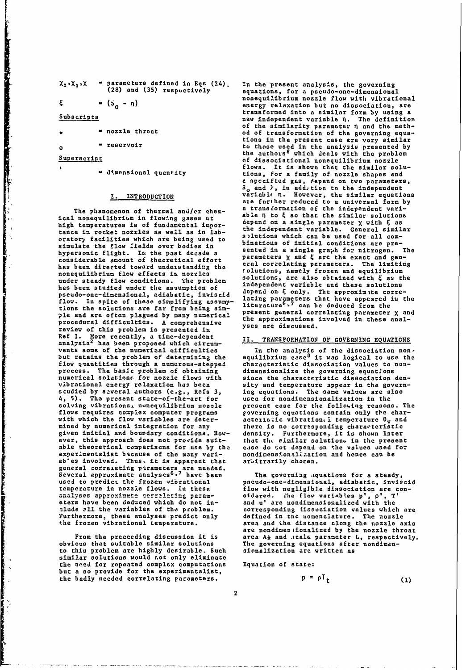| " parameters defined in Eqs (24).<br>$X_2$ , $X_1$ , $X$<br>(28) and (35) respuctively |  |  |  |
|----------------------------------------------------------------------------------------|--|--|--|
|----------------------------------------------------------------------------------------|--|--|--|

 $= (s_n - n)$ 

### Subscripts

ξ

- = nozzle throat
- $=$  reservoir  $\Omega$

### Superscript

" dimensional quantity

### I. INTRODUCTION

The phenomenon of thermal and/cr chemical nonequilibrium in flowing gases at high temperatures is of fundamental importance in rocket nozzles as well as in labcratory facilities which are being used to simulate the flow fields over bodies in<br>hypersonic flight. In the past decade a considerable amount of theoretical effort has been directed toward understanding the nonequilibrium flow effects in nozzles under steady flow conditions. The problem has been studied under the assumption of pseudo-one-dimensional, adiabatic, inviscid flow. In spite of these simplifying assumptions the solutions are far from being simple and are often plagued by many numerical procedural difficulties. A comprehensive review of this problem is presented in Ref 1. More recently, a time-dependent<br>analysis<sup>2</sup> has been proposed which circumvents some of the numerical gifficulties but retains the problem of determining the flow quantities through a numerous-stepped process. The basic problem of obtaining<br>numerical solutions for nozzle flows with vibrational energy relaxation has been<br>studied by saveral authors (e.g., Refs 3, 4, 5). The present state-of-the-art for solving vibrational nonequilibrium nozzle flows requires complex computer programs with which the flow variables are determined by numerical integration for any given initial and boundary conditions. However, this approach does not provide suitable theoretical comparisons for use by the experimentalist because of the many vari-<br>ab'es involved. Thus, it is apparent that general correlating parameters are needed.<br>Several approximate analyses<sup>6,7</sup> have been<br>used to predict the frozen vibrational temperature in nozzie flows. In these analyses approximate correlating parameters have been deduced which do not include all the variables of the problem. Furthermore, these analyses predict only the frozen vibrational temperature.

From the preceeding discussion it is<br>obvious that suitable similar solutions to this problem are highly desirable. Such similar solutions would not only eliminate the need for repeated complex computations but a so provide for the experimentalist, the badly needed correlating parameters.

In the present analysis, the governing equations, for a pseudo-one-dimensional nonequilibrium nozzle flow with vibrational energy relaxation but no dissociation, are transformed into a similar form by using a new independent variable n. The definition of the similarity parameter  $\eta$  and the meth-<br>od of transformation of the governing equations in the present case are very similar to those used in the analysis presented by<br>the authors<sup>8</sup> which deals with the problem of dissociational nonequilibrium nozzle flows. It is shown that the similar solutions, for a family of nozzle shapes and a specified gas, depend on two parameters,  $S_0$  and ), in add, tion to the independent<br>variable n. However, the similar equations are further reduced to a universal form by<br>a transformation of the independent variable  $\eta$  to  $\xi$  so that the similar solutions depend on a single parameter χ with ξ as the independent variable. General similar solutions which can be used for all combinations of initial conditions are presented in a single graph for nitrogen. The<br>parameters  $\chi$  and  $\xi$  are the exact and general correlating perameters. The limiting<br>solutions, namely frozen and equilibrium solutions, are also obtained with  $\xi$  as the independent variable and these solutions depend on ξ only. The approximate correlating parameters that have appeared in the<br>literature<sup>6</sup>,7 can be deduced from the present general correlating parameter x and<br>the approximations involved in these analyses are discussed.

### TRANSFORMATION OF GOVERNING EQUATIONS  $II.$

In the analysis of the dissociation non-<br>equilibrium case<sup>8</sup> it was logical to use the characteristic dissociation values to nondimensionalize the governing equations<br>since the characteristic dissociation density and temperature appear in the governing equations. The same values are also used for nondimensionalization in the present case for the following reasons. The governing equations contain only the characteristic vibration i temperature  $\theta_{\mathbf{v}}$  and there is no corresponding characteristic<br>density. Furthermore, it is shown later that the similar solutions in the present case do zot depend on the values used for<br>nondimensfonalisation and hence can be arbitrarily choren.

The governing aquations for a steady, pseudo-one-dimensional, adiabatic, inviscid flow with negligible dissociation are considered. The flow variables p', p', T<br>and u' are nondimensionalized with the corresponding its sociation values which are<br>defined in the nomenclature. The nozzle area and the distance along the nozzle axis<br>are nondimen ionalized by the nozzle throat area A<sub>k</sub> and acale parsmeter L, respectively. The governing equations after nondimensionalization are written as

Equation of state:

$$
P = \rho_1 t
$$

 $(1)$ 

$$
\mathbf{2} \\
$$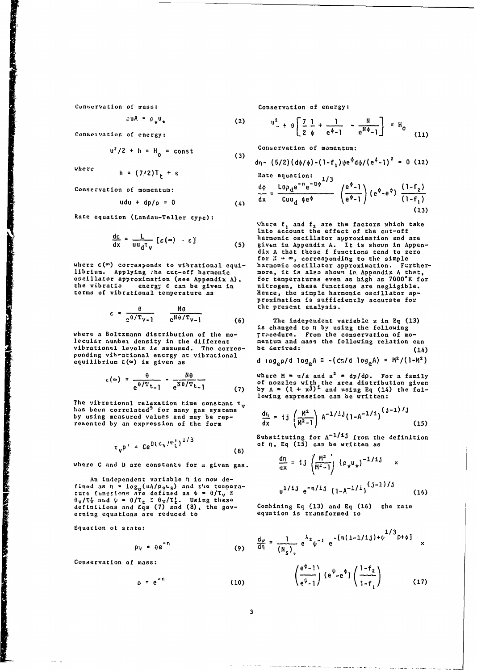$\rho$ uA =  $\rho_{\star}$ u<sub>\*</sub> (2)

Conseivation of energy:

$$
u^2/2 + h = H_0 = const
$$

Conservation of momentum:

$$
udu + dp/\rho = 0 \qquad (4)
$$

**00** (3))

$$
\frac{d\epsilon}{dx} = \frac{L}{uu_d^{\tau}v} \left[ \epsilon(\infty) + \epsilon \right] \tag{5}
$$

librium. Applying :he cut-off harmonic more, it is also shown in Appendix A that, oscillator approximation (see Appendix **A),** for temperatures even as **high** as 7000\*K for the vibratio energy  $\epsilon$  can be given in **initrogen**, these functions are negligible. the vibratio energy  $\varepsilon$  can be given in itrogen, these functions are negligible.<br>terms of vibrational temperature as Hence, the simple harmonic oscillator ap-

$$
\varepsilon = \frac{\theta}{e^{\theta/T_{V-1}}} \qquad \frac{N\theta}{e^{N\theta/T_{V-1}}} \qquad (6) \qquad \text{the present analysis.}
$$

$$
\epsilon(\infty) = \frac{\theta}{e^{\theta/T}t_{-1}} - \frac{N\theta}{e^{N\theta/T}t_{-1}}
$$
 (7)

The vibrational relaxation time constant **T<sub>y</sub>** and M 2012 the many states of the many states of the many states of the many states of the many states of the many states of the many states of the many states of the many st by using measured values and may be represented by an expression of the form

$$
\tau_{V} p^{1} = C e^{D(\hat{v}_{V}/T_{L}^{1})^{1/3}}
$$
 (8)

where C and **D** are constants for a given gas.

An independent variable n is now de- $\int$  fined as  $n = \log_2(uA/\rho_A t_A)$  and  $t^n$  tempera-<br>i/ij  $\ln l$ j ...  $\frac{1}{i}$  ...  $\ln l$ j ...  $\frac{1}{i}$  ...  $\vec{r} = \vec{r} - \vec{r} - \vec{r} - \vec{r}$  are defined as  $\phi = \theta/T_v$   $\hat{z} = \frac{1 - 2v}{2}$  **c**  $\frac{1 - 4v - 2v}{2}$  (1-A - '-) (1 Ov/Tv' **atd 1** = O/Tt Ov/Tt. Using these definiLions and **Eqs (7)** and **(8),** the **gov-** Combining **Eq (13)** and **Eq (16)** the rate definitions and  $\tilde{g}$  (7) and (8), the gov-<br>erning equations are reduced to equation is transformed to

Equation **ot** state: **1/3**

$$
p_V = e e^{-n}
$$
 (9)

Conservation of mass:

$$
\rho = e^{-r_1} \tag{10}
$$

Conservation **of** wass: Conservation of energy:

$$
u^{2} + \theta \left[ \frac{7}{2} \frac{1}{\psi} + \frac{1}{e^{\phi} - 1} - \frac{N}{e^{N\phi} - 1} \right] = H_{0}
$$
 (11)

 $u^2/2 + h = H$  = const Conservation of momentum:

where 
$$
h = (7/2)T_t + \epsilon
$$
  $dr - (5/2)(d\psi/\psi) - (1 - f_1)\psi e^{\phi} d\phi/(e^4 - 1)^2 = 0$  (12)  
Rate equation:

$$
\frac{d\phi}{dx} = \frac{L\theta \rho_{d} e^{-n} e^{-D\psi}}{C u u_{d} \psi e^{\phi}} \quad \left(\frac{e^{\psi} - 1}{e^{\psi} - 1}\right) \left(e^{\psi} - e^{\phi}\right) \frac{(1 - f_{2})}{(1 - f_{1})}
$$
\n(13)

Rate equation (Landau-Teller type):<br>where  $f_1$  and  $f_2$  are the factors which take<br>into account the effect of the cut-off harmonic oscillator approximation and are<br>given in Appendix A. It is shown in Appen-For  $\alpha$  and the set of the simple<br>
where  $\varepsilon$ (<sup>o</sup>) corresponds to vibrational equi-<br>
librium. Applying the cut-off harmonic **more**, it is also shown in Appendix A that, proximation is sufficiently accurate for

e<sup>9/1</sup>v-1 (6) The independent variable x in Eq (13)<br>
is changed to n by using the following<br>
lecular author density in the different<br>
vibrational levels is assumed. The corres-<br>
ponding vibrational energy at vibrational<br>

**0** NO where H **f** u/a and a2 **= dp/dp.** For a family  $e^{\theta/T}t_{-1}$   $e^{N\theta/T}t_{-1}$  of nozzles with the area distribution given<br>(7) by A =  $(1 + x^{j})^{\frac{1}{2}}$  and using Eq (14) the following expression can be written:

$$
\frac{dr_{i}}{dx} = i j \left(\frac{M^{2}}{M^{2}-1}\right) A^{-1/2} J (1-A^{-1/1})^{(j-1)/j}
$$
\n(15)

Substituting for  $A^{-1/1j}$  from the definition  $\circ$  **6 n**, Eq (15) can be written as

$$
\frac{dn}{ax} = i j \left( \frac{M^2}{M^2 - 1} \right) (\rho_x u_x)^{-1/1} x
$$
  
 
$$
u^{1/1} e^{-n/1} (1 - A^{-1/1})^{(\frac{1}{2} - 1)/1}
$$
 (16)

$$
p_{V} = \theta e^{-n}
$$
\nmass:

\n
$$
\left(\frac{e^{\phi} - 1}{e^{\psi} - 1}\right) \left(e^{\psi} - e^{\phi}\right) \left(\frac{1 - f_{2}}{1 - f_{1}}\right)
$$
\nmass:

\n
$$
\left(\frac{e^{\phi} - 1}{e^{\psi} - 1}\right) \left(e^{\psi} - e^{\phi}\right) \left(\frac{1 - f_{2}}{1 - f_{1}}\right)
$$
\n(10)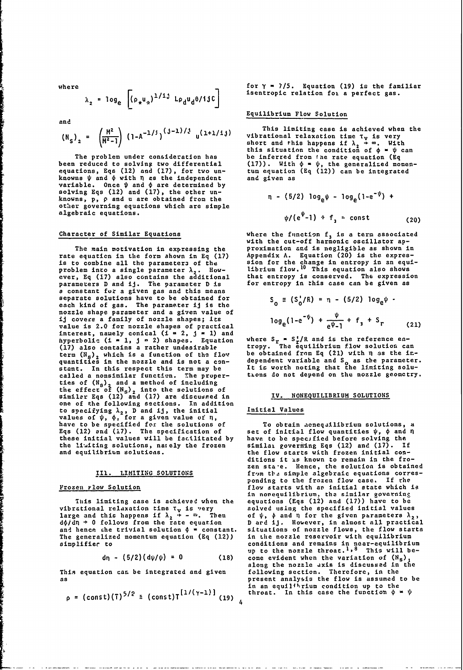$$
\lambda_2 = \log_e \left[ (\rho_\star u_\alpha)^{1/13} \text{ } L \rho_\text{d} u_\text{d} \theta / \text{if} \right]
$$

and

$$
(N_S)_2 = \left(\frac{M^2}{M^2-1}\right) (1-A^{-1/3})^{(3-1)/3} u^{(1+1/13)}
$$

equations, Eqs (12) and (17), for two un- tum equation (Eq (12)) can be integrated<br>knowns ψ and φ with n as the independent and given as variable. Once  $\psi$  and  $\phi$  are determined by solving Eqs (12) and **(17),** the other un knowns,  $\overline{p}$ ,  $\rho$  and **u** are obtained from the other governing equations which are simple<br>algebraic equations.

rate equatien in the form shown in **Eq (17)** Appendix A. Equation (20) is the expresis to combine all the parameters of the sion for the change in entropy in an equi-<br>problem inτo a single parameter λ,. How- librium flow.<sup>10</sup> This equation also shows problem into a single parameter  $\lambda_2$ . How-<br>ever, Eq (17) also contains the additional that entropy is conserved. The expression<br>parameters D and ij. The parameter D is for entropy in this case can be given as **a** constant for a given gas and this means<br>separate solutions have to be obtained for  $\zeta = (S'/R) = n - (5/2)$  log  $\psi$ . each kind of gas. The parameter ij is the **000 000 1000** nozzle shape parameter and a given value of ij covers a family of nozzle shapes; its value is 2.0 for nozzle shapes of practical interest, namely conical (i **-** 2, j **- 1)** and hyperbolic (i **- 1, j -** 2) shapes. Equation where Sr **=** S /R and is the reference en- **(17)** also contains a rather undesirable tropy. **The** equilibrium flow solution can term  $(\aleph_5)_2$  which is a function of the flow quantities in the nozzle and is not a conquantities in the nozzle and is not a con- dependent variable and **So** as the parameter. stant. In this respect this term may be It is worth noting that the liniting solucalled a nonsimilar functiun. The proper- txons do not depend on the nozzle geometry. ties of **(N.)** and a method of including the effect of (N<sub>S</sub>)<sub>2</sub> into the solutions of<br>similer Eqs (12) and (17) are discussed in IV. NONEQUILIBRIUM SOLUTIONS one of the following sections. In addition to specifying **X2, D** and ij, the initial Initial Values values of  $\psi$ ,  $\phi$ , for a given value of n, have to be specified for the solutions of To obtain acnequilibrium solutions, a Eqs (12) and (17). The specification of set of initial flow quantities  $\psi$ ,  $\phi$  and  $\eta$ these initial values will be facilitated **by** have to be specified before solving the the limaiting solutions, nately the frozen similat goveriting **Eqs** (12) and **(17). If**

d $\phi$ /dn + 0 follows from the rate equation **D** ard ij. However, in almost all practical<br>and hence the trivial solution  $\phi$  = constant. situations of nozzle flows, the flow starts and hence the trivial solution  $\phi =$  constant. situations of nozzle flows, the flow starts are starts in the solution of the generalized momentum equation (Eq (12)) in the nozzle reservoir with equilibrium The generalized momentum equation (Eq (12))

$$
d\eta - (5/2)(d\psi/\psi) = 0 \qquad (18)
$$

This equation can be integrated and given

$$
\rho = (\text{const})(7)^{5/2} \equiv (\text{const})T^{[1/(\gamma-1)]}(19)_{4}
$$

where for **y = 7/5.** Equation (19) **is** the familiar isentropic relation for a perfect gas.

### Equilibrium Flow Solution

This limiting case is achieved when the **-A<sup>-17</sup>) i u**<sup>1+171</sup>*u* vibrational relaxation time τ<sub>V</sub> is very short and rhis happens if  $\lambda$ <sub>2</sub> + ∞. With this situation the condition of  $\phi = \psi$  can The problem under consideration has be inferred from *fne rate equation* (Eq<br>been reduced to solving two differential (17)). With  $\phi = \psi$ , the generalized mom  $b = \sqrt{17}$ . With  $\phi = \psi$ , the generalized momen-<br>tum equation (Eq (12)) can be integrated

n - (5/2) 
$$
log_e \psi - log_e(1 - e^{-\psi}) +
$$
  
\n $\psi/(e^{\psi} - 1) + f_3 = const$  (20)

Character of Similar Equations  $\blacksquare$  where the function  $f_3$  is a term associated with the cut-off harmonic oscillator ap-The main motivation in expressing the proximation and is negligible as shown in for entropy in this case can be given as

$$
S_0 = (S_0^t/R) = n - (5/2) \log_e \psi
$$
  

$$
\log_e(1 - e^{-\psi}) + \frac{\psi}{e^{\psi} - 1} + f_3 + S_r
$$
 (21)

set of initial flow quantities  $\psi$ ,  $\phi$  and n and equilibrium solutions, the flow starts with frozen initial conditions it is known to remain in the fro-<br>zen sta·e. Hence, the solution is obtained III. LIMITING SOLUTIONS from the simple algebraic equations corresponding to the frozen flow case. If rhe Frozen rlow Solution **flow starts with an initial state which is** in norequilibrium, the similar governing Tils limiting case is achieved when the equations (Eqs (12) and **(17))** have to be This limiting case is achieved when the equations (Eqs (12) and (17)) have to be vibrational relaxation time  $\tau_v$  is very solved using the specified initial values large and this happens if  $\lambda_2 \rightarrow -\infty$ . Then of  $\psi$ ,  $\$ simplifier to **conditions and remains in near-equilibrium**<br>up to the nozzle throat.<sup>1,8</sup> This will become evident when the variation of  $(N_s)$ , along the nozzle axis is discussed in the<br>following section. Therefore, in the as present analysis the flow is assumed to be in an equil<sup>th</sup>rium condition up to the<br> *p contribition* 4 \* *ψ*<br> *p* (constraint) **(1)** (y-1)] (constraint in this case the function  $\phi$  \* *ψ*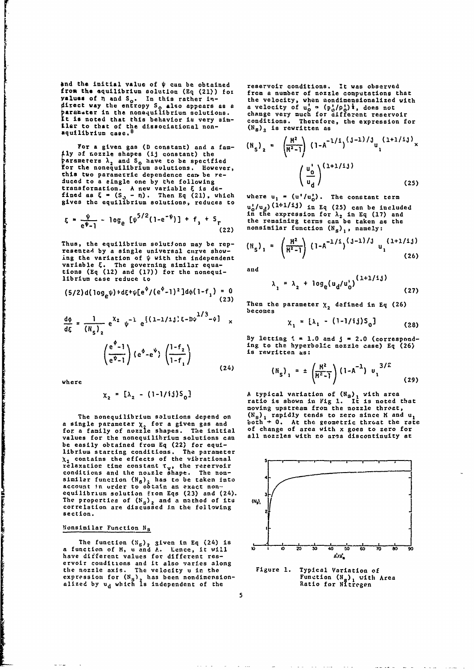and the initial value of  $\psi$  can be obtained reservoir conditions. It was observed from the equilibrium solution  $(Eq (21))$  for from a number of nozzle computations that<br>
yaluss of n and  $S_o$ . In this rather in-<br>
the velocity, when nondimensionalized with<br>
direct way the entropy  $S_o$  also appears as a a v values **of** n and **So .** in this rather **in-** the velocity, when nondimensionalized with Oirect way the entropy **So** also appears **as** a a velocity of **u' - (p /p ,)I,** does not Saramoter in the nonequilibrium solutions, change very much for different reservoir tt is noted that this behavior io very aim- conditions. Therefore, the expression for Let to that of the dissociational non-<br>  $\left(N_B\right)_2$  is rewritten as equilibrium case. <sup>8</sup>

For a given gas (D constant) and a fam-**Solution** is a shapes (ij constant) the arameters  $\lambda_2$  and  $S_0$  have to be specified for the nonequilibrium solutions. However,  $/ U_{\alpha}^{\dagger}$ this two parametric dependence can be re-<br>duced to a single one by the following transformation. A new variable  $\xi$  is defined as  $\xi = (S_3 - n)$ . Then Eq (21), which where u,  $\alpha$  (u'/u'). The constant term

$$
\xi = \frac{\psi}{e^{\psi} - 1} - \log_e \left[ \psi^{5/2} (1 - e^{-\psi}) \right] + f_3 + S_r
$$
\n(22)

Thus, the equilibrium solutions may be representad by a single universal curve show- **S** ing the variation of  $\psi$  with the independent **(26)** (26) variable **C.** The governing similar equa-tions **(Eq** (12) and **(17))** for the nonequi- and  $\frac{1}{\ln 2}$  and  $\frac{1}{\ln 7}$  for the nonequi-<br> $\frac{1}{\ln 7}$  (1+1/ij)

$$
(5/2) d(\log_e \psi) * d\xi + \psi [e^{\phi} / (e^{\phi} - 1)^2] d\phi (1 - f_1) = 0
$$
\n(27)

 $\overline{a}$ 

$$
\frac{d\phi}{d\xi} = \frac{1}{\left(R_{\mathsf{S}}\right)_2} e^{\chi_2} \psi^{-1} e^{\left\{(1-1/1\right)\xi - D\psi^{-1/3} - \phi\right]} \times \qquad \qquad \chi_1 = \left[\lambda_1 - (1-1/i)\right] \cdot \mathsf{S}_0 \cdot \mathsf{S}_0 \cdot \mathsf{S}_0 \cdot \mathsf{S}_0 \cdot \mathsf{S}_0 \cdot \mathsf{S}_0 \cdot \mathsf{S}_0 \cdot \mathsf{S}_0 \cdot \mathsf{S}_0 \cdot \mathsf{S}_0 \cdot \mathsf{S}_0 \cdot \mathsf{S}_0 \cdot \mathsf{S}_0 \cdot \mathsf{S}_0 \cdot \mathsf{S}_0 \cdot \mathsf{S}_0 \cdot \mathsf{S}_0 \cdot \mathsf{S}_0 \cdot \mathsf{S}_0 \cdot \mathsf{S}_0 \cdot \mathsf{S}_0 \cdot \mathsf{S}_0 \cdot \mathsf{S}_0 \cdot \mathsf{S}_0 \cdot \mathsf{S}_0 \cdot \mathsf{S}_0 \cdot \mathsf{S}_0 \cdot \mathsf{S}_0 \cdot \mathsf{S}_0 \cdot \mathsf{S}_0 \cdot \mathsf{S}_0 \cdot \mathsf{S}_0 \cdot \mathsf{S}_0 \cdot \mathsf{S}_0 \cdot \mathsf{S}_0 \cdot \mathsf{S}_0 \cdot \mathsf{S}_0 \cdot \mathsf{S}_0 \cdot \mathsf{S}_0 \cdot \mathsf{S}_0 \cdot \mathsf{S}_0 \cdot \mathsf{S}_0 \cdot \mathsf{S}_0 \cdot \mathsf{S}_0 \cdot \mathsf{S}_0 \cdot \mathsf{S}_0 \cdot \mathsf{S}_0 \cdot \mathsf{S}_0 \cdot \mathsf{S}_0 \cdot \mathsf{S}_0 \cdot \mathsf{S}_0 \cdot \mathsf{S}_0 \cdot \mathsf{S}_0 \cdot \mathsf{S}_0 \cdot \mathsf{S}_0 \cdot \mathsf{S}_0 \cdot \mathsf{S}_0 \cdot \mathsf{S}_0 \cdot \mathsf{S}_0 \cdot \mathsf{S}_0 \cdot \mathsf{S}_0 \cdot \mathsf{S}_0 \cdot \mathsf{S}_0 \cdot \mathsf{S}_0 \cdot \mathsf{S}_0 \cdot \mathsf{S}_0 \cdot \mathsf{S}_0 \cdot \mathsf{S}_0 \cdot \mathsf{S}_0 \cdot \mathsf{S}_0 \cdot \mathsf{S}_0 \cdot \mathsf{S}_0 \cdot \mathsf{S}_0 \
$$

$$
\chi_2 = [\lambda_2 - (1-1/i)S_0]
$$

a single parameter  $\chi$  for a given gas and<br>for a family of nozzle shapes. The initial values for the nonequilibrium solutions can **be** easily obtained from **Eq** (22) for equilibrium starting conditions. The parameter librium starting conditions. The parameter<br>  $\chi_2$  contains the effects of the vibrational<br>relaxation time constant T<sub>v</sub>, the rezervoir<br>conditions and the no<sub>\*</sub>zle shape. The nonsimilar function  $(N_R)$ , has to be taken into account in urder to obtain an exact non- equilibrium solution fron Eqs **(23)** and (24). **3** The properties of **(N.),** and a mathod of its **(,),** correlation are discussed in the following **section.** 2\_

### Nonsimilar Function Ns **1.**

The function (N.). given in **Eq** (24) is **- 1 \_. \_\_, \_,** a function of H, u and A. Lence, it will **1 0** 2 **30 40 60 V 0 O 0** have different values for different res- **Ai4** ervoir conditions and it also varies along the nozzle axis. The velocity **u** in the **the subset of the serve of the serve of the serve of the servest of the servest of the servest of the servest of the servest of the servest of the servest of the servest alized by** 

$$
\left(\aleph_{S}\right)_{2} = \left(\frac{\aleph^{2}}{\aleph^{2}-1}\right) \left(1-\aleph^{-1/1}\right)^{\left(\frac{1}{3}-1\right)/j} u_{1}^{(1+1/1j)} \times \left(\frac{u_{0}^{j}}{u_{d}}\right)^{\left(1+1/1j\right)}
$$
\n(25)

gives the equilibrium solutions, reduces to  $\frac{1}{u}$ ,  $\frac{1}{u}$ ,  $\frac{1}{u}$ ,  $\frac{1}{u}$   $\frac{1}{u}$   $\frac{1}{u}$   $\frac{1}{u}$   $\frac{1}{u}$   $\frac{1}{u}$   $\frac{1}{u}$   $\frac{1}{u}$   $\frac{1}{u}$   $\frac{1}{u}$   $\frac{1}{u}$   $\frac{1}{u}$   $\frac{1}{u}$   $\frac{1}{u}$   $\frac{$ **50**  $\frac{1}{2}$  in the expression for  $\lambda_2$  in Eq (17) and the remaining terms can be taken as the nonsimilar function  $(N_g)$ , namely:

$$
\left(\aleph_{S}\right)_{1} = \left(\frac{\aleph^{2}}{\aleph^{2}-1}\right) \left(1-\triangle^{-1/1}\right)^{\left(\frac{1}{3}-1\right)/j} u_{1}^{(1+1/1j)}
$$
\n(26)

5

$$
\lambda_1 = \lambda_2 + \log_e(u_d/u_0')^{(1+1/2)} \tag{27}
$$

Then the parameter  $X_2$  defined in Eq (26) becomes

$$
x_1 = [\lambda_1 - (1-1/ij)S_0]
$$
 (28)

By letting  $t = 1.0$  and  $f = 2.0$  (corresponding to the hyperbolic nozzle case) Eq (26) **(e0-e 4 ---**2is **'** rewritten as:

where 
$$
(e^{iz_1}/(1-i_1)
$$
  $(24)$   $(h_s)_1 = \pm \left(\frac{H^2}{H^2-1}\right) (1-A^{-1}) u_1^{3/2}$  (29)

X= - (l'1/ij)S0 ) A typical variation of **(N3 )1** with area **2 2** ratio is shown in Fig **1.** It is noted that moving upstream from the nozzle throat, The nonequilibrium solutions depend on  $(N_g)$  rapidly tends to zero since H and **u**, ingle parameter  $\chi$  for a given gas and both  $\div$  0. At the geometric throat the rate a family of nozzle shapes. The initial of change o

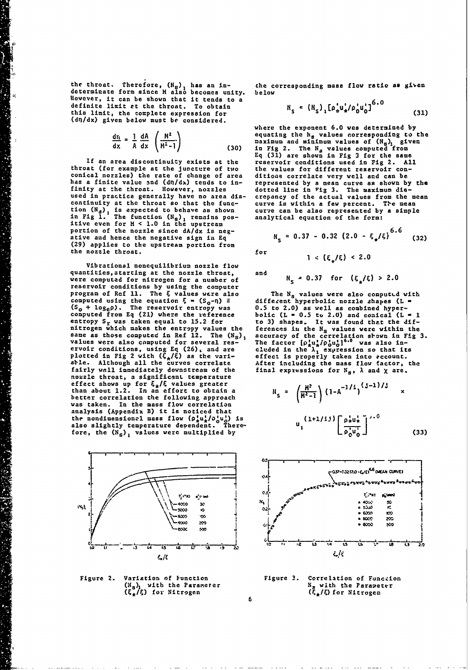the throat. Therefore,  $(N_g)$ , has an in-<br>determinate form since **H** also becomes unity, below determinate form since H also becomes unity, below **XAHOWEVERS** well also be shown that it tends to a 6.0 million definite limit at the throat. To obtain **H** a  $(H + f_0)$  **[p**]  $\frac{1}{2}$  **[P**]  $\frac{1}{2}$  **[P**]  $\frac{1}{2}$  **[P**]  $\frac{1}{2}$  **[P**]  $\frac{1}{2}$  **[P**]  $\frac{1}{2}$  **[P**]  $\frac{1}{2}$  **[P**]  $\frac{1}{2}$  **[P**]  $\frac{1}{2}$  **[P**]  $\frac{1}{2}$  **[P**] this limit, the complete expression for (dn/dx) given below must be considered.

**P**

$$
\frac{d\tau_1}{dx} = \frac{1}{A} \frac{dA}{dx} \left( \frac{H^2}{H^2 - 1} \right)
$$
 (30)

throat (for example at the juncture of two the values for different reservoir con- conical nozzles) the rate of change of area ditioae correlate very well and can be has a finite value and (dn/dx) tends to in- represented **by** a mean curve as shown **by** the finity at the throat. However, nozzles dotted line in Fig 3. The maximum dis-<br>used in practice generally have no area dis- crepancy of the actual values from the mean used in practice generally have no area dis-<br>continuity at the throat so that the func-<br>continuity at the throat so that the func-<br>tion  $(N_a)$ , is expected to behave as shown curve can be also represented by a simple<br>in Fi itive even for H **< 1.0** in the upstream portion of the nozzle since  $dA/dx$  is negative and hence the negative sign in Eq **(29)** applies to the upstream portion from the nozzle throat.  $for$ 

Vibrational nonequilibrium nozzle flow quantities,startlng at the nozzle throat, and were computed for nitrogen for a number of **NS = 0.37** for **(g\*/&) > 2.0** reservoir conditions **by** using the computer program of Rcf **11.** The **4** values were also The **N.** values were alzo computLd with program of Ref 11. The  $\xi$  values were also The  $N_s$  values were also computed with<br>computed using the equation  $\xi = (S_0 - \eta) = \frac{1}{2}$  different hyperbolic nozzle shapes (L =  $(S_0 + \log_e \rho)$ . The reservoir entropy was 0.5 to nitrogen which makes the entropy values the sane as those computed in Ref 12. The (N<sub>S</sub>), values were also computed for several reservoir conditions, using **Eq (<sup>2</sup> <sup>6</sup> ),** and are **eluded** in the **1X \*x <sup>1</sup> ression so** that **its** plotted in Fig 2 with **(C,g)** as the varn- effect is properly taken into account. able. Although all the curves correlate After including the mass flow factor, the fairly wall immediately downstream of the final expressions for **N<sub>s</sub>, A** and X are. nozzle throat, a significant temperature effect shows up for  $\bar{t}_4/\bar{t}$  values greater  $A_4$   $A_3$   $A_1$   $A_2$  **A**  $A_3$  **A**  $A_4$  **A**  $A_5$ than about 1.2. In an effort to obtain a  $\mathcal{U} = \left(\frac{H^2}{H^2}\right) \left(1-A^{-1/2}\right)$ than about 1.2. In an effort to obtain a<br>better correlation the following approach<br>was taken. In the mass flow correlation analysis (Appendix B) it is noticed that the nondimensional mass flow  $(\rho_{\star}^1 u_{\star}^1 / \rho_0^1 u_0^1)$  is  $(1+1/13) \big\{ \rho_{\star}^1 u_{\star}^1 \big\}$ . also slightly temperature dependent. There- **U<sub>1</sub>** [ *l***<sub>1</sub>,** *l***<sub>1</sub>,** *l***<sub>1</sub>,** *l***<sub>1</sub>,** *l***<sub>1</sub>,** *l***<sub>1</sub>,** *l***<sub>1</sub>,** *l***<sub>1</sub>,** *l***<sub>1</sub>,** *l***<sub>1</sub>,** *l***<sub>1</sub>,** *l***<sub>1</sub>,** *l***<sub>1</sub>,** *l***<sub>1</sub>,** *l***<sub>1</sub>,** *l***<sub>1</sub>,** *l***<sub>1</sub>,** *l***<sub>1</sub>,** *l***<sub>1</sub>,** *l***<sub>1</sub>,** *l***<sub>1</sub>,** fore, the  $(N_S)$ <sup>1</sup> values were multiplied by



$$
R_{s} = (R_{s})_{1} [\rho_{s}^{'} u_{s}^{'} / \rho_{0}^{'} u_{0}^{'}]^{3.0}
$$
 (31)

where the exponent **6.0** was determined **by**  $\frac{d\eta}{d\alpha} = \frac{1}{A} \frac{dA}{dx} \left( \frac{H^2}{H^2 - 1} \right)$  equating the  $\frac{1}{B}$  values corresponding to the<br>dx  $\frac{1}{A} \frac{dX}{dx} \left( \frac{H^2}{H^2 - 1} \right)$  (30) in Fig 2. The N<sub>a</sub> values computed from **Eq (31)** are shown in **Fig 3** for the same **If** an area discontinuity exists at the reservoir conditions used in Fig 2. **All**

$$
R_{s} = 0.37 - 0.32 (2.0 - \xi_{\star}/\xi)^{0.0}
$$
 (32)

**6**

 $1 < (\xi_1/\xi) < 2.0$ 

to 3) shapes. It was found that the dif-<br>ferences in the N<sub>s</sub> values were within the accuracy of the correlation shown in Fig 3.<br>The factor  $\left[\rho_{\mu\nu}^{11}/\rho_0 u_0^{11}\right]^{6.0}$  was also in-<br>cluded in the  $\lambda_1$  expression so that its

$$
i_{s} = \left(\frac{H^{2}}{H^{2}-1}\right) \left(1-A^{-1/1}\right)^{(j-1)/3} \times
$$
  

$$
u_{1}^{(1+1/1) \left[\frac{\rho_{*}^{j} u_{*}^{j}}{\rho_{0}^{j} u_{0}^{j}}\right]^{j+0}}
$$
(33)



Figure 2. Variation of Function<br>
(N<sub>S</sub>)<sub>1</sub> with the Parameter<br>
(E<sub>R</sub>/E) for Nitrogen<br>
(E<sub>R</sub>/E) for Nitrogen<br>
(E<sub>R</sub>/E) for Nitrogen **(Hs)1** with the Parameter **N.** with the Paramieter (&\*IF,) for Nitrogen **(&,/0** for Nitrogen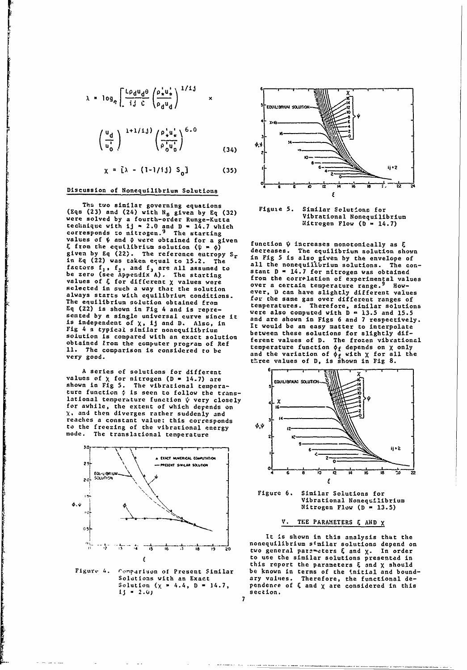$$
\lambda = \log_{\rho} \left[ \frac{\text{Log}_{d} \theta_{d} \theta}{\text{log}_{d} \epsilon} \left( \frac{\rho_{\star}^{1} u_{\star}^{1}}{\rho_{d} u_{d}} \right)^{1/13} \right] \times \text{Log}_{\text{EQULISCHUM-SOL}}
$$

$$
\left(\frac{u_d}{u_0^*}\right)^{-1+1/1,j} \left(\frac{\rho_+^* u_+^*}{\rho_0^* u_0^*}\right)^{6.0}
$$
\n(34)

**<sup>4</sup>5 C ID 12 14 16 aS 22 24** Discussion of Nonequilibrium Solutions

The two similar governing equations<br>(23) and (24) with N<sub>r</sub> aiven by Fe (32) Figure 5. Similar Selutions for **(Eqs** (23) and (24) with **Ns** given **by Eq (32)** Vibrational Nonequilibrium were solved **by** a fourth-order Runge-Kutta technique with ij  $\sim$  2.0 and D = 14.7 which its interval and  $N = 14.7$ values of  $\psi$  and  $\phi$  vere obtained for a given<br>  $\xi$  from the equilibrium solution  $(\psi \mod n)$ <br>
given by Eq (22). The reference entropy  $S_r$ <br>
in Eq (22) was taken equal to 15.2. The<br>
factors  $f_1$ ,  $f_3$ , and  $f_3$  are al selected in such a way that the solution of experimental value<br>selected in such a way that the solution<br>alusus state way that the solution are ver, D can have slightly different values always starts with equilibrium conditions.<br>The equilibrium solution obtained from the same gas over different ranges of sented by a single universal curve since it<br>is independent of  $\chi$ , ij and D. Also, in<br>Fig 4 a typical sinilar nonequilibrium<br> $\frac{1}{2}$  4 a typical school and  $\chi$  it would be an easy matter to interpolate<br>solution in acc obtained from the computer program of Ref temperature functions on X only only the computer program of Ref tempe<br>11. The comparison is considered to be and the variation of depends on X only very good.<br>**very good.** three values of **D**, *is shown* in Fig. 8.

**<sup>A</sup>**series of solutions for different - <sup>r</sup> **'** values **of** X for nitrogen **D -** 14.7) are **EGJILI** M S T1 shown in Fig 5. The vibrational tempera-<br>ture function  $\phi$  is seen to follow the translational temperature function  $\psi$  very closely  $\downarrow x$   $\downarrow x$   $\downarrow \downarrow x$   $\downarrow \downarrow x$ for awhile, the extent of which depends on X. and then diverges rather suddenly and reaches a constant value: this corresponds to the freezing of the vibrational energy **1/** mode. The translational temperature



 $15 = 2.0$ 

**7**



from the correlation of experimental values over a certain temperature range.<sup>9</sup> How-The equilibrium solution obtained from temperatures. Therefore, similar solutions **Eq** (22) is shown in Fig 4 and is repre- were also computed with **D - 13.5** and **15.5** solution is compared with an exact solution **between** these solutions for singlets of the frozen vibrational<br>obtained from the computer program of Ref **from the from the frozen vibration** on **y** and w



Figure **6.** Similar Solutions for  $N$ itrogen Flow  $(D = 13.5)$ 

### V. **TEE** PARAMETERS **AND** X

It is shown in this analysis that the , -**4 , is** \_ **,6 1 \_ 0 \_ is \_ 19** \_nonequilibrium 0 **two general** parz-eters similar solutions depend on **4 and** X. In **order** to use the similar solutions presented in this report the parameters 4 and X should Figur 4. romparison **of Present Similar** be known in terms of the tnitial and bound-Comparison of Present Similar be known in terms of the initial and bound-<br>Solutions with an Exact ary values. Therefore, the functional de-<br>Solution  $(\chi = 4.4, D = 14.7,$  pendence of  $\xi$  and  $\chi$  are considered in this pendence of  $\xi$  and  $\chi$  are considered in this<br>section.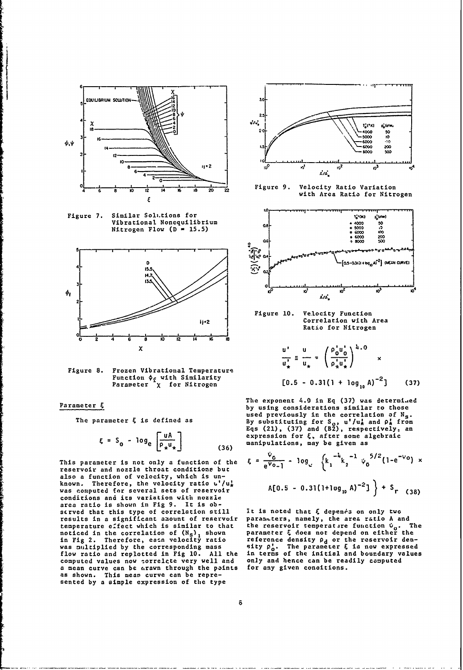

Similar Solutions for Figure 7. Vibrational Nonequilibrium Nitrogen Flow ( $D = 15.5$ )



Figure 8. Frozen Vibrational Temperature Function  $\phi_f$  with Similarity<br>Parameter  $\chi$  for Nitrogen

### Parameter  $\xi$

The parameter  $\xi$  is defined as

$$
\xi = S_0 - \log_e \left[ \frac{uA}{\rho_\star u_\star} \right] \tag{36}
$$

This parameter is not only a function of the reservoir and nozzle throat conditions but also a function of velocity, which is unknown. Therefore, the velocity ratio u'/u,<br>was computed for several sets of reservoir conditions and its variation with nozzle area ratio is shown in Fig 9. It is obscrved that this type of correlation still results in a significant amount of reservoir temperature effect which is similar to that noticed in the correlation of  $(N_s)$ , shown<br>in Fig 2. Therefore, esca velocity ratio was multiplied by the corresponding mass flow ratio and replotted in Fig 10. All the computed values now correlate very well and a mean curve can be arawn through the points as shown. This mean curve can be represented by a simple expression of the type



Figure 9. Velocity Ratio Variation with Area Ratio for Nitrogen



Figure 10. Velocity Function<br>Correlation with Area Ratio for Nitrogen

$$
\frac{u'}{u'_\star} = \frac{u}{u_\star} = \left(\frac{\rho_0 u_0'}{\rho_\star u_\star'}\right)^{k.0} \times
$$
  
[0.5 - 0.31(1 + log<sub>1</sub>, A)<sup>-2</sup>] (37)

The exponent 4.9 in Eq (37) was determined by using considerations similar to those used previously in the correlation of N<sub>s</sub>. By substituting for  $S_0$ ,  $u'/u$ , and  $\rho$ , from<br>Eqs (21), (37) and (B2), respectively, an<br>expression for  $\xi$ , after some algebraic manipulations, may be given as

$$
\xi = \frac{v_6}{e^{v_{0}} - 1} - \log_e \left\{ k_1^{-\frac{1}{4}} k_2^{-1} \psi_0^{-5/2} (1 - e^{-v_0}) \right\}
$$
  
 
$$
A[0.5 - 0.31(1 + \log_{10} A)^{-2}] + S_r
$$
 (38)

It is noted that  $\xi$  depends on only two parameters, namely, the area ratio A and the reservoir temperature function  $\dot{v}_0$ . The<br>parameter  $\xi$  does not depend on either the<br>reference density  $\rho_d$  or the reservoir den-<br>sity  $\rho_o'$ . The parameter  $\xi$  is now expressed The in terms of the initial and boundary values only and hence can be readily computed for any given concitions.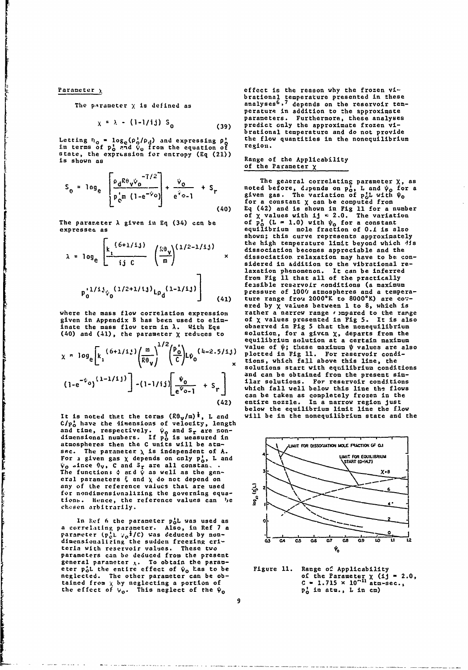ra de la componencia de la componencia de la componencia de la componencia de la componencia de la componencia<br>La componencia del componencia de la componencia de la componencia de la componencia de la componencia de la c

$$
\chi = \lambda - (1-1/i) S_0 \tag{39}
$$

in terms of  $p_0^1$  and  $\psi_0$  from the equation of region. state, the exprLssion for entropy **(Eq** (21)) **is shown as Range of the Applicability**

$$
S_0 = \log_e \left[ \frac{\rho_d R \theta_v \dot{\phi}_0^{-7/2}}{p_{c}^* m (1 - e^{-\dot{\phi}_0})} \right] + \frac{\dot{\phi}_0}{e^{\dot{\phi}_{0}} - 1} + S_r
$$
\n(40)

$$
\lambda = \log_e \left[ \frac{k_1^{(6+1/1,j)}}{ij \ c} \ \left( \frac{k \theta_y}{m} \right)^{(1/2-1/1j)} \right] \times
$$

$$
p_0^{1/1/j} \psi_0^{(1/2+1/j)} L_{p_d}^{(1-1/j)} \Bigg|_{(41)}
$$

٦

given in Appendix B has been used to elim-<br>inate the mass flow term in  $\lambda$ . With Eqs

$$
\chi \approx \log_e \left[ k_i \frac{(6+1/i)}{R\theta_V} \right)^{1/2} \left( \frac{p_o}{C} \right) L\psi_0 \qquad (4-2.5/i, j) \qquad \text{value of } \psi; \text{ these maximum } \psi \text{ values are a given function.}
$$
\n
$$
\chi \approx \log_e \left[ k_i \frac{(6+1/i)}{R\theta_V} \right]^{1/2} \left( \frac{p_o}{C} \right) L\psi_0 \qquad \text{values at the point of the point of the point.}
$$
\n
$$
\chi \approx \log_e \left( k_i \frac{1}{R\theta_V} \right)^{1/2} \left( \frac{p_o}{C} \right) L\psi_0 \qquad \text{values at the point of the point of the point.}
$$
\n
$$
\chi \approx \log_e \left( k_i \frac{1}{R\theta_V} \right)^{1/2} \left( \frac{p_o}{C} \right) L\psi_0 \qquad \text{values at the point of the point of the point.}
$$
\n
$$
\chi \approx \log_e \left( k_i \frac{1}{R\theta_V} \right)^{1/2} \left( \frac{p_o}{C} \right) L\psi_0 \qquad \text{values at the point of the point of the point.}
$$
\n
$$
\chi \approx \log_e \left( k_i \frac{1}{R\theta_V} \right)^{1/2} \left( \frac{p_o}{C} \right) L\psi_0 \qquad \text{values at the point of the point of the point.}
$$
\n
$$
\chi \approx \log_e \left( k_i \frac{1}{R\theta_V} \right)^{1/2} \left( \frac{p_o}{C} \right) L\psi_0 \qquad \text{values at the point of the point of the point.}
$$
\n
$$
\chi \approx \log_e \left( k_i \frac{1}{R\theta_V} \right)^{1/2} \left( \frac{p_o}{C} \right) L\psi_0 \qquad \text{values at the point of the point of the point.}
$$
\n
$$
\chi \approx \log_e \left( k_i \frac{1}{R\theta_V} \right)^{1/2} \left( \frac{p_o}{C} \right) L\psi_0 \qquad \text{values at the point of the point of the point.}
$$
\n
$$
\chi \approx \log_e \left( k_i \frac{1}{R\theta_V} \right)^{1/2} \left( \frac{p_o}{C} \right) L\psi_0 \q
$$

It is noted that the terms  $(R\theta_{\text{v}}/m)^{\frac{1}{4}}$ , L and c will be in the nonequilibrium state and the C/p<sub>o</sub> have the dimensions of velocity, length and time, respectively.  $\psi_0$  and S<sub>r</sub> are non-<br>dimensional numbers. If  $p_0$  is measured in atmospheres then the **C** units will be atm- **OFOJ**  $s$ <sup>ec</sup>. The parameter  $\lambda$  is independent of  $\lambda$ . For a given gas  $\chi$  depends on only  $p_0^1$ , L and  $\chi$  **START (O-M22)** (START (O-M32)  $\psi_0$  since  $\theta_v$ , **C** and S<sub>r</sub> are all constan, .<br>The function;  $\phi$  ard  $\psi$  as well as the gen-  $\theta$  3k.0 eral parameters  $\frac{2}{3}$  and  $\chi$  do not depend on<br>any of the reference values that are used<br>for nondimensionalizing the coverning equation for nondimensionalizing the governing equator noncimensiumalizing the general can be a *g* chosen arbitrarily.<br>
chosen arbitrarily.

In Ref 6 the parameter **p<sub>o</sub>l was used as** o a correlating parameter. Also, in Ref 7 a parameter (pl  $\varphi_a^1$ /C) was deduced by non-<br>parameter (pl  $\varphi_a^1$ /C) was deduced by nondimensionalizing the sudden freezing cri-<br> **41 a**  $\overline{G}$  **c4 c5 0.6 a7 0.8 0.9 10 11 12** teria with reservoir values. These two parameters can **be** deduced from the present general parameter **X.** To obtain the parameter **pL** the entire effect of **go** has to be Figure **11.** Range of Applicability neglected. The other parameter can be ob- of the Parameter X (ij **-** 2.0, tained from X by neglecting **a** portion of **C - 1.715** x 10-11 atmsec., the effect of **yo.** This neglect **of** the **io p,** in atm., L in cm)

Parameter  $\chi$  effect is the reason why the frozen vi-**brational temperature presented in these**<br>The parameter x is defined as analyses<sup>6,7</sup> depends on the reservoir temperature in addition to the approximate parameters. Furthermore, these analyses predict only the approximate frozen vibrational temperature and do not provide Letting  $n_{\alpha}$  = log<sub>e</sub>(p<sub>a</sub>/p<sub>d</sub>) and expressing p' the flow quantities in the nonequilibrium

# Range of the Applicability<br>of the Parameter  $\chi$

The geaeral correlating parameter X, as  $S_{\alpha} = \log_{\alpha}$   $\frac{Q_{\alpha} + Q_{\alpha}}{Q_{\alpha}} + S_{\alpha}$  noted before, depends on  $p_{\alpha}$ , L and  $\psi_{\alpha}$  for a p<sup>i</sup>m (1-e<sup>-7</sup>0) e<sup>t</sup>o-1 **the set of the variation of p<sub>o</sub>L** with  $\Psi_0$ L jfor a constant X can be computed from (40) **Eq** (42) and is shown **in** Fig 11 for a number of X values with ij **-** 2.0. The variation The parameter **A** given in **Eq** (34) ccn be **of p,** (L *-* **1.0)** with **go** for a constant The parameter  $\lambda$  given in Eq (34) can be of  $\tilde{p}_0^s$  (L = 1.0) with  $\psi_0$  for a constant equilibrium mole fraction of 0.1 is also shown; this curve represents approximately the high temperature limit beyond which *dis* dissociation becomes appreciable and the<br>dissociation relaxation may heve to be con-**<sup>A</sup>=6o[ X** dissociation relaxation may have to bv con- **ge ij C** sidered in addition to the vibrational relaxation phenomenon. It can be inferred from Fig **11** that all **of** the practically feasible reservoir conditions (a maximum **Pressure of 100***'* atmospheres and a tempera-<br>ture range frou 2000<sup>°</sup>K to 8000<sup>°</sup>K) are co<sub>7</sub>ered **by** X values between **1** to **8,** which is where the mass flow correlation expression rather a narrew range  $\epsilon$  ) mpared to the range given in Appendix B has been used to elim- of  $\chi$  values presented in Fig 5. It is also observed in Fig 5 that the nonequilibrium Inate the mass flow term in A. Theory of Solution, for a given x, departs from the<br>(40) and (41), the parameter x reduces to sentative contribution of a contribution reviews equilibrium solution at a certain maximum r./ **-I25\*** value of **?P;** these maximum 'P values are also tions, which fall above this line, the<br>solutions start with equilibrium conditions and can be obtained from the present sim-**11ar solutions. For reservoir conditions which fall well below this line the flows** can be taken as completely frozen in the entire nozzle. In a narrow region just below the equilibrium limit line the flow<br>will be in the nonequilibrium state and the



**9**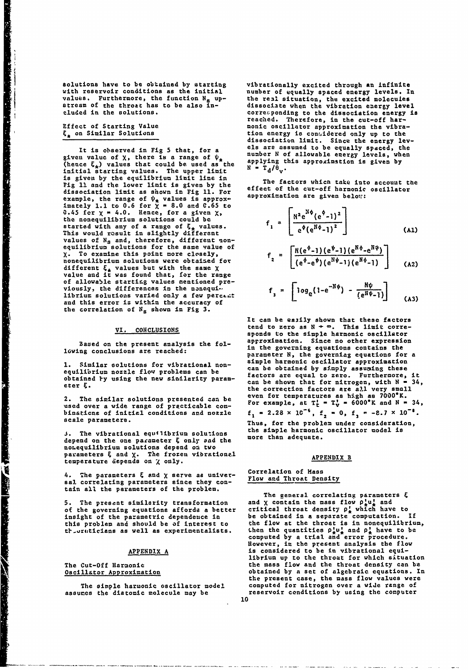Solutions have to be obtained **by** starting vibrationally excited through **an** Infinite values. Furthermore, the function N<sub>s</sub> up-<br>atream of the throat has to be also in-

given value of X, there **is** a range of **n** (hence **&\*)** values that could **be** used as the applying this approximstion is given **by** (hence  $\epsilon_{\star}$ ) values that could be used as the  $N = T_d/\theta_v$ .<br>initial starting values. The upper limit  $N = T_d/\theta_v$ .<br>is given by the equilibrium limit line in Fig 11 and the lower limit is given by the effect of the cut-off harmonic oscillator<br>dissociation limit as shown in Fig 11. For effect of the cut-off harmonic oscillator<br>example the range of  $\psi$  welluse is annoyed approxi eig is and the lower limit is given by the effect of the cut-off harmonic oscillator<br>dissociation limit as shown in Fig 11. For approximation are given below: imately **1.1** to **0.6** for **X - 8.0** and **C.65** to 0.45 for  $\chi$  **-** 4.0. Hence, for a given  $\chi$ , **Fig. 4**  $\chi$ , **Fig.**  $\chi$ , **Fig.**  $\chi$ the nonequilibrium solutions could be <br> **Exercise 1** started with any of a range of  $\xi_{\pm}$  values.  $\begin{bmatrix} 1 & 1 \\ 1 & 1 \end{bmatrix} \begin{bmatrix} 1 & 1 \\ 1 & 1 \end{bmatrix}$  (Al) This would result in slightly different **(Al)**  $e^{\gamma}(e^{n\gamma}-1)^{-}$  (Al) values of N<sub>s</sub> and, therefore, different nonequilibrium solutions for the same value of  $X$ . To examine this point more closely,<br>nonequilibrium solutions were obtaized for nonequilibrium solutions were obtained for  $\begin{bmatrix} 2 \end{bmatrix} \begin{bmatrix} (e^{\phi} - e^{\phi}) (e^{N\phi} - 1) (e^{N\phi} - 1) \end{bmatrix}$  (A2) value and it was found that, for the range of allowable starting values mentioned pre-<br> **viously, the differences in the nonequi**librium solutions varied only a few percent **3 1**  $^{10}$   $^{3}$  **e**  $^{10}$   $^{3}$   $^{10}$   $^{20}$   $^{10}$   $^{21}$   $^{21}$   $^{21}$ and this error is within the accuracy of the correlation of **Na** shown in Fig **3.**

Baued on the present analysis the fol-<br>lowing conclusions are reached:

equilibrium nozzle flov problems can be can be obtained **by** s:mply assumins these

depend on the one parameter  $\xi$  only sad the noLequilibrium solutions depend on two parameters & and X. The frozen vibrationel **APPENDIX APPENDIX** B temperature depends on X only.

4. The parameters **4** and X serve as universal correlating parameters since they con-<br>
Flow and Throat Density tain all the parameters of the problem.<br>The general correlating parameters  $\xi$ 

of the governing equations afforda a better critical throat density **pj** which have to insight of the parametric dependence in be obtained in a separate computation. **If** t-.reticians as well as experimentalists. then the quantities **plul** and **p,** have to **be**

number of equally spaced energy levels. In values. Furthermore, the function N<sub>a</sub> up-<br>stream of the throat has to be also in-<br>cluded in the solutions.<br>corresponding to the dissociation energy is corresponding to the dissociation energy is reached. Therefore, in the cut-off har-Effect of Starting Value monic oscillator approximation the vibra-<br> $\xi_{\star}$  on Similar Solutions the state of the control the vibraon Similar Solutions the tion energy is contidered only up to the continued only up to the continued and the energy lev-It is observed in Fig 5 that, for a els are assumed to be equally spaced, the<br>in value of **Y**, there is a range of  $\psi$ . number N of allowable energy levels, when

$$
e^{i\pi} = \left[\frac{N^2 e^{N\varphi} (e^{\varphi} - 1)^2}{e^{\varphi} (e^{N\varphi} - 1)^2}\right]
$$
 (A1)

$$
f_{2} = \left[ \frac{N(e^{\phi}-1)(e^{\psi}-1)(e^{N\phi}-e^{N\psi})}{(e^{\phi}-e^{\psi})(e^{N\psi}-1)(e^{N\phi}-1)} \right]
$$
 (A2)

$$
f_3 = \left[ \log_e(1 - e^{-H\psi}) - \frac{H\psi}{(e^{H\psi} - 1)} \right]
$$
 (A3)

It can be easily shown that these factors **VI. CONCLUSIONS** tend to zero as **N - -.** This limit corresponds to the simple harmonic oscillator<br>approximation. Since no other expression in the governing equations contains the parameter **N,** the governiag equations for a **1.** Similar solutions for vibrational non- simple harmonic oscillator approximation equilibrium nozzie flow problems can be<br>obtained by using the new sinilarity param-<br>eter  $\xi$ .<br>the correction factors are all very small<br>the correction factors are all very small 2. The similar solutions presented can be even for temperatures as high as 7000°K. used over a wide range of practicable com- For example, at Tt **-** TV **-** 6000\*K and **N -** 34, **<sup>u</sup>a' s e d o v e g pf e0o. -i -a 0 , 8 .7 xb**  used over a wide range of practicable com-<br>binations of initial conditions and nozzle  $f_1 = 2.28 \times 10^{-6}$ ,  $f_2 = 0$ ,  $f_3 = -2.7 \times 10^{-8}$ .<br>scale parameters. Thus, for the problem under consideration, **J.** The vibrational equilibrium solutions the simple harmonic oscillator model is an equal to the more than adequate.

# **Correlation of Mass**

**5.** The prescat similarity transformation and X contain the mass flow plul and this problem and should be of interest to the flow at the throat is in nonequilibrium, computed **by** a trial and error procedure. However, in the present analysis the flow APPENDIX A is considered to be in vibrational equilibrium up to the throat for which situation The Cut-Off Harmonic the mass flow and the throat density can be Oscillator Approximation obtained **by** a set of algebraic equations. In the present case, the mass flow values were The simple harmonic oscillator model computed for nitrogen over a wiJe range of assumes the diatomic molecule may **be** reservoir conditions **by** using the computer 10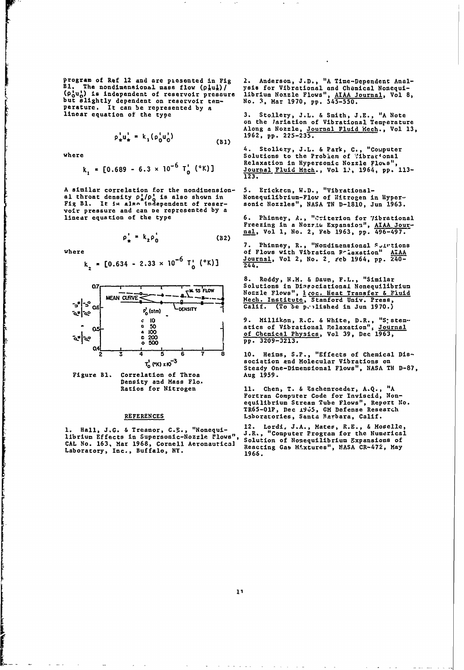program of Ref 12 and are picsented in Fig 2. Anderson, J.D., "A Time-Dependent Anal-<br>B1. The nondimensional mass flow  $(\rho_*^1 u_*^1)$  ysis for Vibrational and Chemical Nonequi-<br> $(\rho_0^1 u_0^1)$  is independent of reservoir pres **BI.** The nondimennional mass flow (pjuj)/ ysis for Vibrational and Chemical Nonequi- (P~u.) is independent of reservoir pressure librium Nozzle Flows", **AIAA** Journal, Vol **8,** but slightly dependent on reservoir tem- No. **3,** Mar **1970, pp. 545-550.** perature. It can be represented **by** a linear equation of the type **3.** Stollery, **J.L.** & Smith, **J,E., "A** Note

$$
\rho_{\star}^{1} u_{\star}^{1} = k_{1} (\rho_{0}^{1} u_{0}^{1})
$$
 (B1)

re de la propieta de la propieta de la propieta de la propieta de la propieta de la propieta de la propieta de<br>La propieta de la propieta de la propieta de la propieta de la propieta de la propieta de la propieta de la pr

$$
k_1 = [0.689 - 6.3 \times 10^{-6} T_0' \, (°K)]
$$

A similar correlation for the nondimension-<br>al throat density  $\rho^1_A/\rho^1_G$  is also shown in<br>Fig Bl. It is also independent of reservoir pressure and can be represented by a<br>linear equation of the type

$$
\rho_{\perp} = k_2 \rho_0 \tag{B2}
$$

$$
k_{2} = [0.634 - 2.33 \times 10^{-6} \text{ T}^{1}_{0} (^{\circ} \text{K})]
$$



Figure B1. Correlation of Throa Density and Mass Flo.<br>Ratios for Nitrogen

librium Effects in Supersonic-Nozzle Flows", J.R., "Computer Program for the Numerical CAL No. 163, Mar 1968, Cornell Aeronautical Solution of Rosequilibrium Expansions of<br>Laboratory, Inc., Buffalo, NY.<br>1966 1966

on the lariation of Vibrational Temperature Along a Nozzle, <u>Journal Fluid Mech</u>., Vol 13,<br>
<sup>2</sup><sub>1</sub>u<sub>1</sub> = k<sub>1</sub>(p<sub>0</sub>u<sub>1</sub>) **1962**, pp. 225-235.

4. Stollexy, **J.L. &** Park, **C.,** "Computer where Solutions to the Problem **of** '"ibratonal **6 ~Relaxation in Hypersonic** Nozzle **Flo,%s", kelaxation in Hypersonic Nozzle Flows",**<br> **Journal Fluid Mach.**, Vol 1.<sup>3</sup>, 1964, pp. 113-<br> **123.** 

5. Erickson, W.D., "Vibrational-<br>Nonequilibrium-Flow of Nitrogen in Hyper-<br>sonic Nozzles", NASA TN D-1810, Jun 1963.

Freezing in a Nozrie Expansion", AIAA Jour-<br>nal, Vol 1, No. 2, Feb 1963, pp. 496-497.

**7. Phinney, R., "Nondimensional S, utions where** of Flows with Vibration -liaxation" **AIAA kZ[0.634 - 2.33 x 10 6** Journal, Vol 2, No. 2 eeb 1964, **pp.** 240- **- 6 To' ('K)]** 44.

**8.** Reddy, N.H. & Daum, F.L., "Similar **a7- -** Solutions in Dineaciationai Nonequilibrium INozzle Flows", 1coc. Heat Transfer **&** Fluid -**MEA-N** CLRV-<(otZ:7 **&** .Mech. Institute, Stanford Univ. Press, **OL - s** f Calif. (To 'e p,'-lished in Jun **1970.)**

> **C I0** 9. Millikan, R.C. & White, D.R., "S: stem--<br> **a** 50 **atics of Vibrational Relaxation"**, <u>Journal</u><br> **a** 100 **a** Chemical Physics Val 30 Dec 1963 - **a 100** of Chemical Physics, Vol **39, Dee 1963, <sup>c</sup>**<sup>200</sup> **o 500 pp. 3209-3213.**

2 **3** 4 **5 6 7 8 10.** Hemis, **S.P.,** "Effects of Chemical Dis- T<sub>0</sub> (T<sub>0</sub> (T) x10<sup>-3</sup><br>
Steady One-Dimensional Flows", NASA TN D-87,<br>
ation of Throa Mug 1959.

Ratios for Nitrogen **11.** Chen, T. **&** Eschenroeder, **A.Q., "A** Fortran Computer Code for Inviseid, Nonequilibrium Stream Tube Flows", Report No. TR65-OlP, Dec **±905, CM** Defense Research **REFERENCES** Lsboratories, Santa Rarbara, Calif.

**1.** Hall, **J.G. &** Treanor, **C.E.,** "Nonequi- 12. Lordi, **J.A.,** Mates, R.E., **&** Moselle, 1966.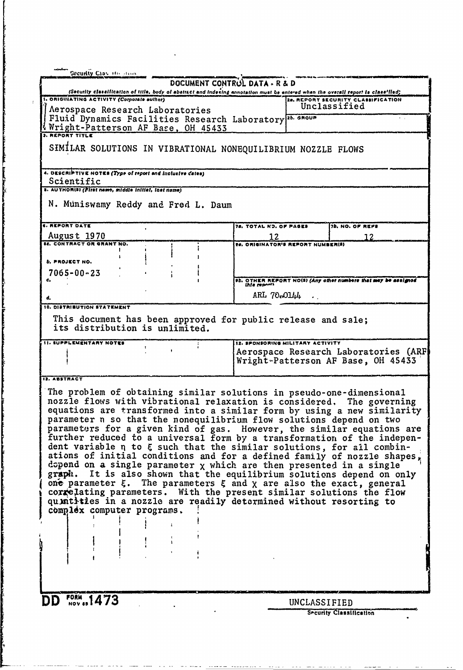| Security Class He Home                                                                                                                         |                                                                                                                                                                          |
|------------------------------------------------------------------------------------------------------------------------------------------------|--------------------------------------------------------------------------------------------------------------------------------------------------------------------------|
| DOCUMENT CONTROL DATA - R & D                                                                                                                  |                                                                                                                                                                          |
| 1. ORIGHIATING ACTIVITY (Corporate author)                                                                                                     | (Security classification of title, body of abattact and indexing annotation must be entered when the overall report to classified)<br>20. REPORT SECURITY CLASSIFICATION |
| Aerospace Research Laboratories                                                                                                                | Unclassified                                                                                                                                                             |
| Fluid Dynamics Facilities Research Laboratory <sup>25. GROUP</sup>                                                                             |                                                                                                                                                                          |
| Nright-Patterson AF Base, OH 45433                                                                                                             |                                                                                                                                                                          |
|                                                                                                                                                |                                                                                                                                                                          |
| SIMILAR SOLUTIONS IN VIBRATIONAL NONEQUILIBRIUM NOZZLE FLOWS                                                                                   |                                                                                                                                                                          |
|                                                                                                                                                |                                                                                                                                                                          |
| 4. DESCRIPTIVE NOTES (Type of report and inclusive dates)                                                                                      |                                                                                                                                                                          |
| Scientific                                                                                                                                     |                                                                                                                                                                          |
| s. AUTHORISI (First name, middle initial, last name)                                                                                           |                                                                                                                                                                          |
| N. Muniswamy Reddy and Fred L. Daum                                                                                                            |                                                                                                                                                                          |
|                                                                                                                                                |                                                                                                                                                                          |
| <b>C. REPORT DATE</b>                                                                                                                          | 78. TOTAL ND. OF PAGES<br>7b. NO. OF REFE                                                                                                                                |
| August 1970                                                                                                                                    | 12<br>12                                                                                                                                                                 |
| <b>IE. CONTRACT OR GRANT NO.</b>                                                                                                               | <b>22. ORIGINATOR'S REPORT NUMBER(S)</b>                                                                                                                                 |
| <b>b. PROJECT NO.</b>                                                                                                                          |                                                                                                                                                                          |
| $7065 - 00 - 23$                                                                                                                               |                                                                                                                                                                          |
|                                                                                                                                                | <b>PE. OTHER REPORT NO(5) (Any other numbers that mey be assigned</b><br>This reports                                                                                    |
|                                                                                                                                                |                                                                                                                                                                          |
| d.                                                                                                                                             | ARL 70.0144                                                                                                                                                              |
| 10. DISTRIBUTION STATEMENT                                                                                                                     |                                                                                                                                                                          |
| This document has been approved for public release and sale;<br>its distribution is unlimited.                                                 |                                                                                                                                                                          |
|                                                                                                                                                |                                                                                                                                                                          |
| <b>11. SUPPLEMENTARY NOTES</b>                                                                                                                 | 12. SPONSORING MILITARY ACTIVITY                                                                                                                                         |
|                                                                                                                                                | Aerospace Research Laboratories (ARF)                                                                                                                                    |
|                                                                                                                                                | Wright-Patterson AF Base, OH 45433                                                                                                                                       |
| 12. ABSTRACT                                                                                                                                   |                                                                                                                                                                          |
|                                                                                                                                                |                                                                                                                                                                          |
| The problem of obtaining similar solutions in pseudo-one-dimensional<br>nozzle flows with vibrational relaxation is considered. The governing  |                                                                                                                                                                          |
|                                                                                                                                                | equations are transformed into a similar form by using a new similarity                                                                                                  |
| parameter n so that the nonequilibrium flow solutions depend on two                                                                            |                                                                                                                                                                          |
|                                                                                                                                                | parameters for a given kind of gas. However, the similar equations are                                                                                                   |
|                                                                                                                                                | further reduced to a universal form by a transformation of the indepen-                                                                                                  |
| dent variable n to $\xi$ such that the similar solutions, for all combin-                                                                      |                                                                                                                                                                          |
|                                                                                                                                                | ations of initial conditions and for a defined family of nozzle shapes,                                                                                                  |
| dopend on a single parameter $x$ which are then presented in a single<br>graph. It is also shown that the equilibrium solutions depend on only |                                                                                                                                                                          |
| one parameter $\xi$ . The parameters $\xi$ and $\chi$ are also the exact, general                                                              |                                                                                                                                                                          |
| correlating parameters. With the present similar solutions the flow                                                                            |                                                                                                                                                                          |
| quintities in a nozzle are readily determined without resorting to                                                                             |                                                                                                                                                                          |
| complex computer programs.                                                                                                                     |                                                                                                                                                                          |
|                                                                                                                                                |                                                                                                                                                                          |
|                                                                                                                                                |                                                                                                                                                                          |
|                                                                                                                                                |                                                                                                                                                                          |
|                                                                                                                                                |                                                                                                                                                                          |
|                                                                                                                                                |                                                                                                                                                                          |
|                                                                                                                                                |                                                                                                                                                                          |
|                                                                                                                                                |                                                                                                                                                                          |
| <b>DD</b> FORM 1473                                                                                                                            | UNCLASSIFIED                                                                                                                                                             |
|                                                                                                                                                | <b>Security Classification</b>                                                                                                                                           |
|                                                                                                                                                |                                                                                                                                                                          |

 $\mathbf{v} = \mathbf{0}$ 

 $\bar{V}$